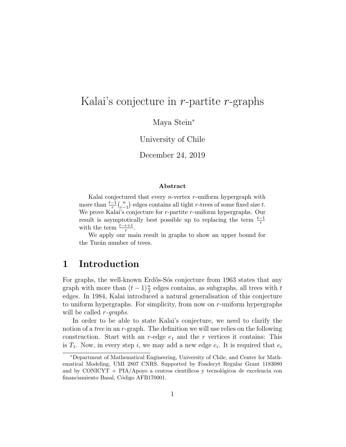# Kalai's conjecture in  $r$ -partite  $r$ -graphs

Maya Stein<sup>∗</sup>

University of Chile

December 24, 2019

#### Abstract

Kalai conjectured that every  $n$ -vertex  $r$ -uniform hypergraph with more than  $\frac{t-1}{r} {n \choose r-1}$  $\binom{n}{r-1}$  edges contains all tight r-trees of some fixed size t. We prove Kalai's conjecture for r-partite r-uniform hypergraphs. Our result is asymptotically best possible up to replacing the term  $\frac{t-1}{r}$ with the term  $\frac{t-r+1}{r}$ .

We apply our main result in graphs to show an upper bound for the Turán number of trees.

#### 1 Introduction

For graphs, the well-known Erdős-Sós conjecture from 1963 states that any graph with more than  $(t-1)\frac{n}{2}$  edges contains, as subgraphs, all trees with  $t$ edges. In 1984, Kalai introduced a natural generalisation of this conjecture to uniform hypergraphs. For simplicity, from now on r-uniform hypergraphs will be called *r*-*graphs*.

In order to be able to state Kalai's conjecture, we need to clarify the notion of a *tree* in an  $r$ -graph. The definition we will use relies on the following construction. Start with an r-edge  $e_1$  and the r vertices it contains: This is  $T_1$ . Now, in every step i, we may add a new edge  $e_i$ . It is required that  $e_i$ 

<sup>∗</sup>Department of Mathematical Engineering, University of Chile, and Center for Mathematical Modeling, UMI 2807 CNRS. Supported by Fondecyt Regular Grant 1183080 and by CONICYT + PIA/Apoyo a centros científicos y tecnológicos de excelencia con financiamiento Basal, Código AFB170001.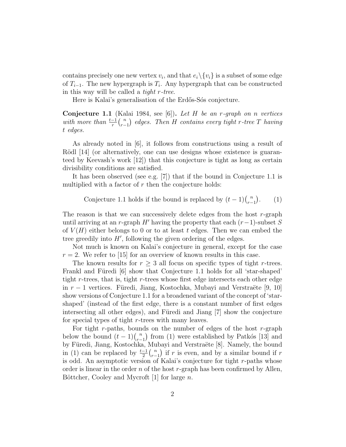contains precisely one new vertex  $v_i$ , and that  $e_i \setminus \{v_i\}$  is a subset of some edge of  $T_{i-1}$ . The new hypergraph is  $T_i$ . Any hypergraph that can be constructed in this way will be called a tight r-tree.

Here is Kalai's generalisation of the Erdős-Sós conjecture.

**Conjecture 1.1** (Kalai 1984, see [6]). Let H be an r-graph on n vertices with more than  $\frac{t-1}{r} {n \choose r-1}$  $\binom{n}{r-1}$  edges. Then H contains every tight r-tree T having t edges.

As already noted in [6], it follows from constructions using a result of Rödl [14] (or alternatively, one can use designs whose existence is guaranteed by Keevash's work [12]) that this conjecture is tight as long as certain divisibility conditions are satisfied.

It has been observed (see e.g. [7]) that if the bound in Conjecture 1.1 is multiplied with a factor of  $r$  then the conjecture holds:

Conjecture 1.1 holds if the bound is replaced by 
$$
(t-1)\binom{n}{r-1}
$$
. (1)

The reason is that we can successively delete edges from the host  $r$ -graph until arriving at an r-graph H' having the property that each  $(r-1)$ -subset S of  $V(H)$  either belongs to 0 or to at least t edges. Then we can embed the tree greedily into  $H'$ , following the given ordering of the edges.

Not much is known on Kalai's conjecture in general, except for the case  $r = 2$ . We refer to [15] for an overview of known results in this case.

The known results for  $r \geq 3$  all focus on specific types of tight r-trees. Frankl and Füredi [6] show that Conjecture 1.1 holds for all 'star-shaped' tight r-trees, that is, tight r-trees whose first edge intersects each other edge in  $r-1$  vertices. Füredi, Jiang, Kostochka, Mubayi and Verstraëte [9, 10] show versions of Conjecture 1.1 for a broadened variant of the concept of 'starshaped' (instead of the first edge, there is a constant number of first edges intersecting all other edges), and Füredi and Jiang  $[7]$  show the conjecture for special types of tight r-trees with many leaves.

For tight r-paths, bounds on the number of edges of the host r-graph below the bound  $(t-1)\binom{n}{r-1}$  $\binom{n}{r-1}$  from (1) were established by Patkós [13] and by Füredi, Jiang, Kostochka, Mubayi and Verstraëte [8]. Namely, the bound in (1) can be replaced by  $\frac{t-1}{2} {n \choose r-1}$  $\binom{n}{r-1}$  if r is even, and by a similar bound if r is odd. An asymptotic version of Kalai's conjecture for tight r-paths whose order is linear in the order n of the host r-graph has been confirmed by Allen, Böttcher, Cooley and Mycroft [1] for large  $n$ .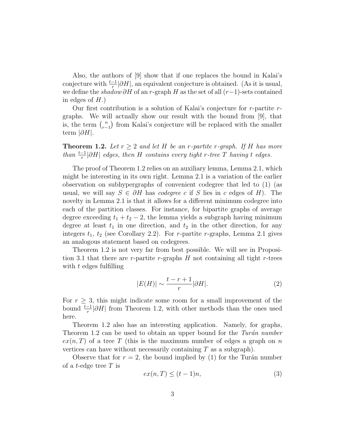Also, the authors of [9] show that if one replaces the bound in Kalai's conjecture with  $\frac{t-1}{r}|\partial H|$ , an equivalent conjecture is obtained. (As it is usual, we define the shadow  $\partial H$  of an r-graph H as the set of all  $(r-1)$ -sets contained in edges of  $H$ .)

Our first contribution is a solution of Kalai's conjecture for r-partite rgraphs. We will actually show our result with the bound from [9], that is, the term  $\binom{n}{r}$  $\binom{n}{r-1}$  from Kalai's conjecture will be replaced with the smaller term  $|\partial H|$ .

**Theorem 1.2.** Let  $r \geq 2$  and let H be an r-partite r-graph. If H has more than  $\frac{t-1}{r}|\partial H|$  edges, then H contains every tight r-tree T having t edges.

The proof of Theorem 1.2 relies on an auxiliary lemma, Lemma 2.1, which might be interesting in its own right. Lemma 2.1 is a variation of the earlier observation on subhypergraphs of convenient codegree that led to (1) (as usual, we will say  $S \in \partial H$  has *codegree* c if S lies in c edges of H). The novelty in Lemma 2.1 is that it allows for a different minimum codegree into each of the partition classes. For instance, for bipartite graphs of average degree exceeding  $t_1 + t_2 - 2$ , the lemma yields a subgraph having minimum degree at least  $t_1$  in one direction, and  $t_2$  in the other direction, for any integers  $t_1$ ,  $t_2$  (see Corollary 2.2). For *r*-partite *r*-graphs, Lemma 2.1 gives an analogous statement based on codegrees.

Theorem 1.2 is not very far from best possible. We will see in Proposition 3.1 that there are r-partite r-graphs  $H$  not containing all tight r-trees with  $t$  edges fulfilling

$$
|E(H)| \sim \frac{t - r + 1}{r} |\partial H|.
$$
 (2)

For  $r \geq 3$ , this might indicate some room for a small improvement of the bound  $\frac{t-1}{r}|\partial H|$  from Theorem 1.2, with other methods than the ones used here.

Theorem 1.2 also has an interesting application. Namely, for graphs, Theorem 1.2 can be used to obtain an upper bound for the Turán number  $ex(n,T)$  of a tree T (this is the maximum number of edges a graph on n vertices can have without necessarily containing  $T$  as a subgraph).

Observe that for  $r = 2$ , the bound implied by (1) for the Turán number of a *t*-edge tree  $T$  is

$$
ex(n,T) \le (t-1)n,
$$
\n(3)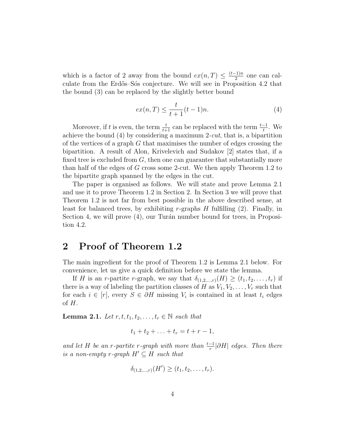which is a factor of 2 away from the bound  $ex(n,T) \leq \frac{(t-1)n}{2}$  $\frac{(-1)n}{2}$  one can calculate from the Erdős–Sós conjecture. We will see in Proposition 4.2 that the bound (3) can be replaced by the slightly better bound

$$
ex(n,T) \le \frac{t}{t+1}(t-1)n.
$$
\n(4)

Moreover, if t is even, the term  $\frac{t}{t+1}$  can be replaced with the term  $\frac{t-1}{t}$ . We achieve the bound  $(4)$  by considering a maximum 2-cut, that is, a bipartition of the vertices of a graph  $G$  that maximises the number of edges crossing the bipartition. A result of Alon, Krivelevich and Sudakov [2] states that, if a fixed tree is excluded from  $G$ , then one can guarantee that substantially more than half of the edges of G cross some 2-cut. We then apply Theorem 1.2 to the bipartite graph spanned by the edges in the cut.

The paper is organised as follows. We will state and prove Lemma 2.1 and use it to prove Theorem 1.2 in Section 2. In Section 3 we will prove that Theorem 1.2 is not far from best possible in the above described sense, at least for balanced trees, by exhibiting r-graphs  $H$  fulfilling  $(2)$ . Finally, in Section 4, we will prove  $(4)$ , our Turán number bound for trees, in Proposition 4.2.

### 2 Proof of Theorem 1.2

The main ingredient for the proof of Theorem 1.2 is Lemma 2.1 below. For convenience, let us give a quick definition before we state the lemma.

If H is an r-partite r-graph, we say that  $\delta_{(1,2,...,r)}(H) \geq (t_1, t_2, \ldots, t_r)$  if there is a way of labeling the partition classes of H as  $V_1, V_2, \ldots, V_r$  such that for each  $i \in [r]$ , every  $S \in \partial H$  missing  $V_i$  is contained in at least  $t_i$  edges of  $H$ .

Lemma 2.1. Let  $r, t, t_1, t_2, \ldots, t_r \in \mathbb{N}$  such that

$$
t_1 + t_2 + \ldots + t_r = t + r - 1,
$$

and let H be an r-partite r-graph with more than  $\frac{t-1}{r}|\partial H|$  edges. Then there is a non-empty r-qraph  $H' \subseteq H$  such that

$$
\delta_{(1,2,...,r)}(H') \ge (t_1, t_2, \dots, t_r).
$$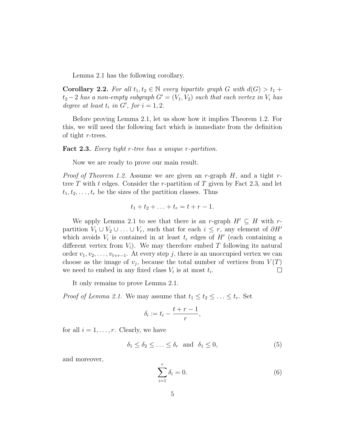Lemma 2.1 has the following corollary.

**Corollary 2.2.** For all  $t_1, t_2 \in \mathbb{N}$  every bipartite graph G with  $d(G) > t_1 +$  $t_2-2$  has a non-empty subgraph  $G'=(V_1, V_2)$  such that each vertex in  $V_i$  has degree at least  $t_i$  in  $G'$ , for  $i = 1, 2$ .

Before proving Lemma 2.1, let us show how it implies Theorem 1.2. For this, we will need the following fact which is immediate from the definition of tight r-trees.

Fact 2.3. Every tight r-tree has a unique r-partition.

Now we are ready to prove our main result.

*Proof of Theorem 1.2.* Assume we are given an r-graph  $H$ , and a tight rtree T with t edges. Consider the r-partition of T given by Fact 2.3, and let  $t_1, t_2, \ldots, t_r$  be the sizes of the partition classes. Thus

$$
t_1 + t_2 + \ldots + t_r = t + r - 1.
$$

We apply Lemma 2.1 to see that there is an r-graph  $H' \subseteq H$  with rpartition  $V_1 \cup V_2 \cup \ldots \cup V_r$ , such that for each  $i \leq r$ , any element of  $\partial H'$ which avoids  $V_i$  is contained in at least  $t_i$  edges of  $H'$  (each containing a different vertex from  $V_i$ ). We may therefore embed T following its natural order  $v_1, v_2, \ldots, v_{t+r-1}$ . At every step j, there is an unoccupied vertex we can choose as the image of  $v_j$ , because the total number of vertices from  $V(T)$ we need to embed in any fixed class  $V_i$  is at most  $t_i$ .  $\Box$ 

It only remains to prove Lemma 2.1.

*Proof of Lemma 2.1.* We may assume that  $t_1 \leq t_2 \leq \ldots \leq t_r$ . Set

$$
\delta_i := t_i - \frac{t+r-1}{r},
$$

for all  $i = 1, \ldots, r$ . Clearly, we have

$$
\delta_1 \le \delta_2 \le \ldots \le \delta_r \quad \text{and} \quad \delta_1 \le 0,\tag{5}
$$

and moreover,

$$
\sum_{i=1}^{r} \delta_i = 0. \tag{6}
$$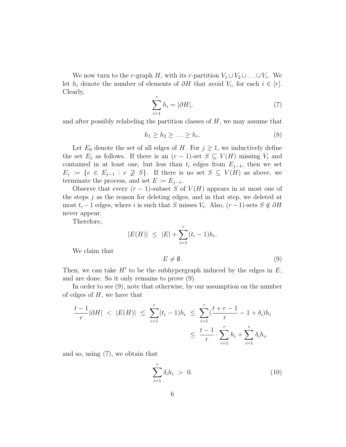We now turn to the r-graph H, with its r-partition  $V_1 \cup V_2 \cup \ldots \cup V_r$ . We let  $h_i$  denote the number of elements of  $\partial H$  that avoid  $V_i$ , for each  $i \in [r]$ . Clearly,

$$
\sum_{i=1}^{r} h_i = |\partial H|,\tag{7}
$$

and after possibly relabeling the partition classes of  $H$ , we may assume that

$$
h_1 \ge h_2 \ge \ldots \ge h_r. \tag{8}
$$

Let  $E_0$  denote the set of all edges of H. For  $j \geq 1$ , we inductively define the set  $E_j$  as follows. If there is an  $(r-1)$ -set  $S \subseteq V(H)$  missing  $V_i$  and contained in at least one, but less than  $t_i$  edges from  $E_{j-1}$ , then we set  $E_j := \{e \in E_{j-1} : e \not\supseteq S\}.$  If there is no set  $S \subseteq V(H)$  as above, we terminate the process, and set  $E := E_{j-1}$ .

Observe that every  $(r-1)$ -subset S of  $V(H)$  appears in at most one of the steps  $j$  as the reason for deleting edges, and in that step, we deleted at most  $t_i - 1$  edges, where i is such that S misses  $V_i$ . Also,  $(r - 1)$ -sets  $S \notin \partial H$ never appear.

Therefore,

$$
|E(H)| \leq |E| + \sum_{i=1}^{r} (t_i - 1)h_i.
$$

We claim that

$$
E \neq \emptyset. \tag{9}
$$

Then, we can take  $H'$  to be the subhypergraph induced by the edges in  $E$ , and are done. So it only remains to prove (9).

In order to see (9), note that otherwise, by our assumption on the number of edges of  $H$ , we have that

$$
\frac{t-1}{r}|\partial H| < |E(H)| \le \sum_{i=1}^r (t_i - 1)h_i \le \sum_{i=1}^r \left(\frac{t+r-1}{r} - 1 + \delta_i\right)h_i
$$
\n
$$
\le \frac{t-1}{r} \cdot \sum_{i=1}^r h_i + \sum_{i=1}^r \delta_i h_i,
$$

and so, using (7), we obtain that

$$
\sum_{i=1}^{r} \delta_i h_i > 0. \tag{10}
$$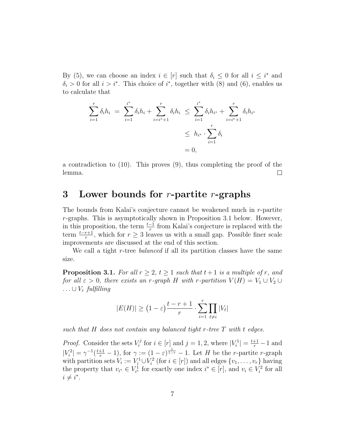By (5), we can choose an index  $i \in [r]$  such that  $\delta_i \leq 0$  for all  $i \leq i^*$  and  $\delta_i > 0$  for all  $i > i^*$ . This choice of  $i^*$ , together with (8) and (6), enables us to calculate that

$$
\sum_{i=1}^{r} \delta_i h_i = \sum_{i=1}^{i^*} \delta_i h_i + \sum_{i=i^*+1}^{r} \delta_i h_i \le \sum_{i=1}^{i^*} \delta_i h_{i^*} + \sum_{i=i^*+1}^{r} \delta_i h_{i^*}
$$
  

$$
\le h_{i^*} \cdot \sum_{i=1}^{r} \delta_i
$$
  

$$
= 0,
$$

a contradiction to (10). This proves (9), thus completing the proof of the lemma.  $\Box$ 

#### 3 Lower bounds for  $r$ -partite  $r$ -graphs

The bounds from Kalai's conjecture cannot be weakened much in r-partite r-graphs. This is asymptotically shown in Proposition 3.1 below. However, in this proposition, the term  $\frac{t-1}{r}$  from Kalai's conjecture is replaced with the term  $\frac{t-r+1}{r}$ , which for  $r \geq 3$  leaves us with a small gap. Possible finer scale improvements are discussed at the end of this section.

We call a tight r-tree *balanced* if all its partition classes have the same size.

**Proposition 3.1.** For all  $r \geq 2$ ,  $t \geq 1$  such that  $t+1$  is a multiple of r, and for all  $\varepsilon > 0$ , there exists an r-graph H with r-partition  $V(H) = V_1 \cup V_2 \cup V_3$  $\ldots \cup V_r$  fulfilling

$$
|E(H)| \ge (1 - \varepsilon) \frac{t - r + 1}{r} \cdot \sum_{i=1}^{r} \prod_{\ell \ne i} |V_{\ell}|
$$

such that  $H$  does not contain any balanced tight r-tree  $T$  with t edges.

*Proof.* Consider the sets  $V_i^j$  $i^{j}$  for  $i \in [r]$  and  $j = 1, 2$ , where  $|V_i^1| = \frac{t+1}{r} - 1$  and  $|V_i^2| = \gamma^{-1}(\frac{t+1}{r} - 1)$ , for  $\gamma := (1 - \varepsilon)^{\frac{1}{1-r}} - 1$ . Let H be the r-partite r-graph with partition sets  $V_i := V_i^1 \cup V_i^2$  (for  $i \in [r]$ ) and all edges  $\{v_1, \ldots, v_r\}$  having the property that  $v_{i^*} \in V_{i^*}^1$  for exactly one index  $i^* \in [r]$ , and  $v_i \in V_i^2$  for all  $i \neq i^*$ .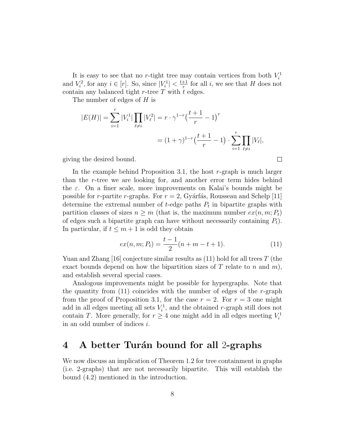It is easy to see that no r-tight tree may contain vertices from both  $V_i^1$ and  $V_i^2$ , for any  $i \in [r]$ . So, since  $|V_i^1| < \frac{t+1}{r}$  $\frac{+1}{r}$  for all *i*, we see that *H* does not contain any balanced tight r-tree  $\overline{T}$  with  $\overline{t}$  edges.

The number of edges of H is

$$
|E(H)| = \sum_{i=1}^{r} |V_i^1| \prod_{\ell \neq i} |V_\ell^2| = r \cdot \gamma^{1-r} \left(\frac{t+1}{r} - 1\right)^r
$$
  
=  $(1 + \gamma)^{1-r} \left(\frac{t+1}{r} - 1\right) \cdot \sum_{i=1}^{r} \prod_{\ell \neq i} |V_\ell|,$ 

giving the desired bound.

In the example behind Proposition 3.1, the host  $r$ -graph is much larger than the r-tree we are looking for, and another error term hides behind the  $\varepsilon$ . On a finer scale, more improvements on Kalai's bounds might be possible for *r*-partite *r*-graphs. For  $r = 2$ , Gyárfás, Rousseau and Schelp [11] determine the extremal number of  $t$ -edge paths  $P_t$  in bipartite graphs with partition classes of sizes  $n \geq m$  (that is, the maximum number  $ex(n, m; P_t)$ ) of edges such a bipartite graph can have without necessarily containing  $P_t$ ). In particular, if  $t \leq m+1$  is odd they obtain

$$
ex(n, m; Pt) = \frac{t-1}{2}(n+m-t+1).
$$
 (11)

 $\Box$ 

Yuan and Zhang [16] conjecture similar results as  $(11)$  hold for all trees T (the exact bounds depend on how the bipartition sizes of  $T$  relate to  $n$  and  $m$ ), and establish several special cases.

Analogous improvements might be possible for hypergraphs. Note that the quantity from  $(11)$  coincides with the number of edges of the r-graph from the proof of Proposition 3.1, for the case  $r = 2$ . For  $r = 3$  one might add in all edges meeting all sets  $V_i^1$ , and the obtained r-graph still does not contain T. More generally, for  $r \geq 4$  one might add in all edges meeting  $V_i^1$ in an odd number of indices i.

#### 4 A better Turán bound for all 2-graphs

We now discuss an implication of Theorem 1.2 for tree containment in graphs (i.e. 2-graphs) that are not necessarily bipartite. This will establish the bound (4.2) mentioned in the introduction.

$$
8\,
$$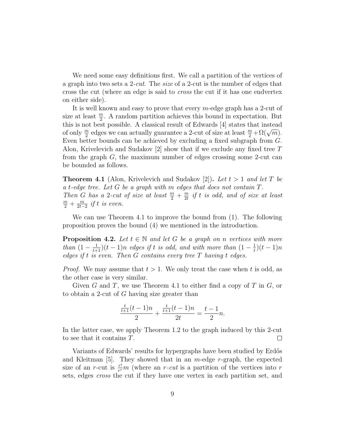We need some easy definitions first. We call a partition of the vertices of a graph into two sets a 2-cut. The size of a 2-cut is the number of edges that cross the cut (where an edge is said to cross the cut if it has one endvertex on either side).

It is well known and easy to prove that every m-edge graph has a 2-cut of size at least  $\frac{m}{2}$ . A random partition achieves this bound in expectation. But this is not best possible. A classical result of Edwards [4] states that instead of only  $\frac{m}{2}$  edges we can actually guarantee a 2-cut of size at least  $\frac{m}{2} + \Omega(\sqrt{m})$ . Even better bounds can be achieved by excluding a fixed subgraph from G. Alon, Krivelevich and Sudakov  $[2]$  show that if we exclude any fixed tree T from the graph G, the maximum number of edges crossing some 2-cut can be bounded as follows.

**Theorem 4.1** (Alon, Krivelevich and Sudakov [2]). Let  $t > 1$  and let T be a t-edge tree. Let  $G$  be a graph with m edges that does not contain  $T$ . Then G has a 2-cut of size at least  $\frac{m}{2} + \frac{m}{2t}$  $\frac{m}{2t}$  if t is odd, and of size at least  $\frac{m}{2}+\frac{m}{2t-}$  $\frac{m}{2t-2}$  if t is even.

We can use Theorem 4.1 to improve the bound from (1). The following proposition proves the bound (4) we mentioned in the introduction.

**Proposition 4.2.** Let  $t \in \mathbb{N}$  and let G be a graph on n vertices with more than  $(1 - \frac{1}{t+1})(t-1)n$  edges if t is odd, and with more than  $(1 - \frac{1}{t})$  $(\frac{1}{t})(t-1)n$ edges if t is even. Then  $G$  contains every tree  $T$  having t edges.

*Proof.* We may assume that  $t > 1$ . We only treat the case when t is odd, as the other case is very similar.

Given G and T, we use Theorem 4.1 to either find a copy of T in  $G$ , or to obtain a 2-cut of G having size greater than

$$
\frac{\frac{t}{t+1}(t-1)n}{2} + \frac{\frac{t}{t+1}(t-1)n}{2t} = \frac{t-1}{2}n.
$$

In the latter case, we apply Theorem 1.2 to the graph induced by this 2-cut to see that it contains T.  $\Box$ 

Variants of Edwards' results for hypergraphs have been studied by Erdős and Kleitman [5]. They showed that in an  $m$ -edge  $r$ -graph, the expected size of an r-cut is  $\frac{r!}{r^r}m$  (where an r-cut is a partition of the vertices into r sets, edges cross the cut if they have one vertex in each partition set, and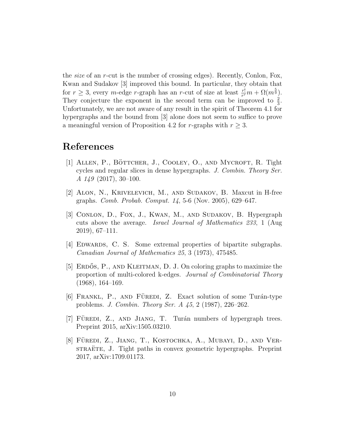the size of an r-cut is the number of crossing edges). Recently, Conlon, Fox, Kwan and Sudakov [3] improved this bound. In particular, they obtain that for  $r \geq 3$ , every m-edge r-graph has an r-cut of size at least  $\frac{r!}{r^r}m + \Omega(m^{\frac{5}{9}})$ . They conjecture the exponent in the second term can be improved to  $\frac{2}{3}$ . Unfortunately, we are not aware of any result in the spirit of Theorem 4.1 for hypergraphs and the bound from [3] alone does not seem to suffice to prove a meaningful version of Proposition 4.2 for r-graphs with  $r \geq 3$ .

## References

- [1] ALLEN, P., BÖTTCHER, J., COOLEY, O., AND MYCROFT, R. Tight cycles and regular slices in dense hypergraphs. J. Combin. Theory Ser. A 149 (2017), 30–100.
- [2] Alon, N., Krivelevich, M., and Sudakov, B. Maxcut in H-free graphs. Comb. Probab. Comput. 14, 5-6 (Nov. 2005), 629–647.
- [3] Conlon, D., Fox, J., Kwan, M., and Sudakov, B. Hypergraph cuts above the average. Israel Journal of Mathematics 233, 1 (Aug 2019), 67–111.
- [4] EDWARDS, C. S. Some extremal properties of bipartite subgraphs. Canadian Journal of Mathematics 25, 3 (1973), 475485.
- [5] ERDOS, P., AND KLEITMAN, D. J. On coloring graphs to maximize the proportion of multi-colored k-edges. Journal of Combinatorial Theory (1968), 164–169.
- $[6]$  FRANKL, P., AND FÜREDI, Z. Exact solution of some Turán-type problems. J. Combin. Theory Ser. A 45, 2 (1987), 226–262.
- $|7|$  FUREDI, Z., AND JIANG, T. Turán numbers of hypergraph trees. Preprint 2015, arXiv:1505.03210.
- [8] FÜREDI, Z., JIANG, T., KOSTOCHKA, A., MUBAYI, D., AND VERstrature, J. Tight paths in convex geometric hypergraphs. Preprint 2017, arXiv:1709.01173.